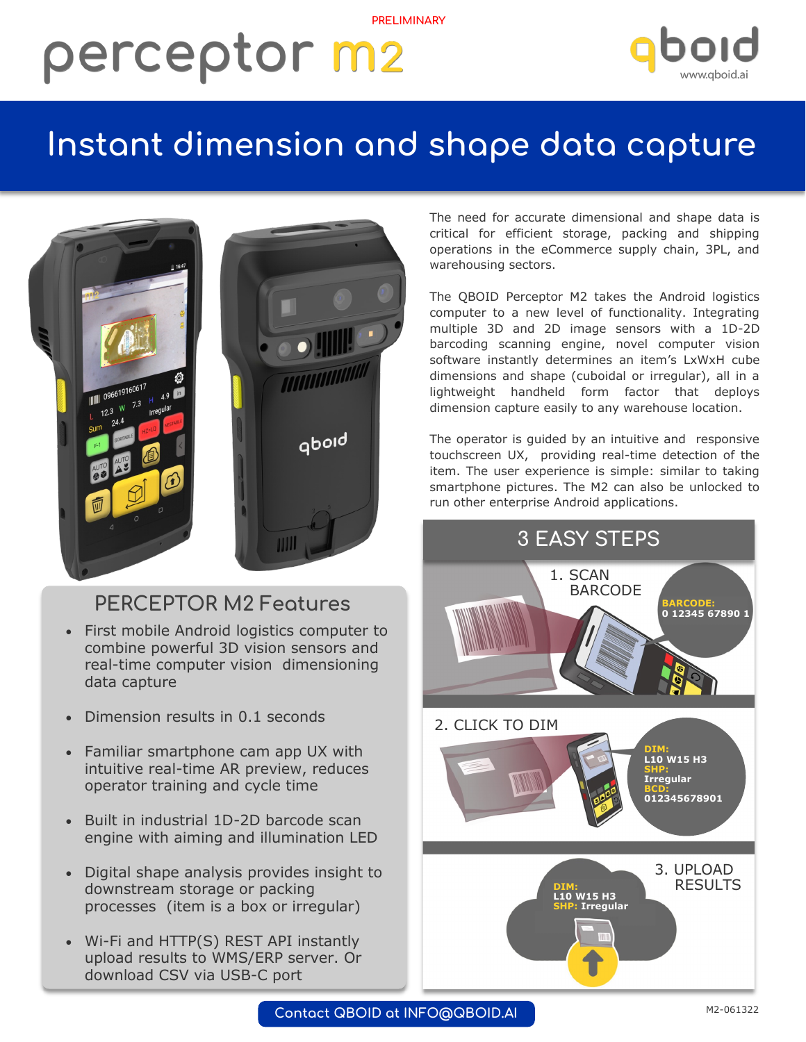## **PRELIMINARY** perceptor m2



## **Instant dimension and shape data capture**



### **PERCEPTOR M2 Features**

- First mobile Android logistics computer to combine powerful 3D vision sensors and real-time computer vision dimensioning data capture
- Dimension results in 0.1 seconds
- Familiar smartphone cam app UX with intuitive real-time AR preview, reduces operator training and cycle time
- Built in industrial 1D-2D barcode scan engine with aiming and illumination LED
- Digital shape analysis provides insight to downstream storage or packing processes (item is a box or irregular)
- Wi-Fi and HTTP(S) REST API instantly upload results to WMS/ERP server. Or download CSV via USB-C port

The need for accurate dimensional and shape data is critical for efficient storage, packing and shipping operations in the eCommerce supply chain, 3PL, and warehousing sectors.

The QBOID Perceptor M2 takes the Android logistics computer to a new level of functionality. Integrating multiple 3D and 2D image sensors with a 1D-2D barcoding scanning engine, novel computer vision software instantly determines an item's LxWxH cube dimensions and shape (cuboidal or irregular), all in a lightweight handheld form factor that deploys dimension capture easily to any warehouse location.

The operator is guided by an intuitive and responsive touchscreen UX, providing real-time detection of the item. The user experience is simple: similar to taking smartphone pictures. The M2 can also be unlocked to run other enterprise Android applications.